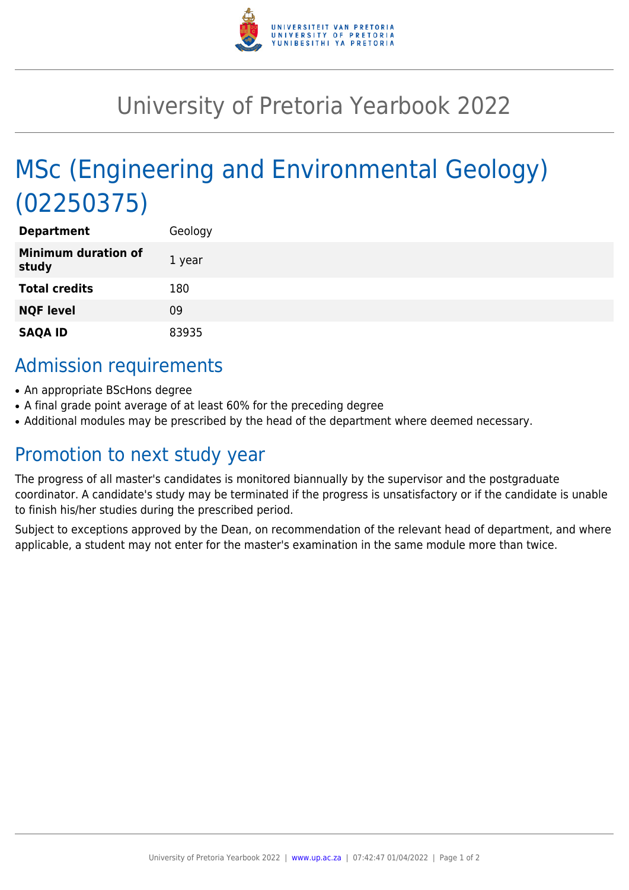

## University of Pretoria Yearbook 2022

# MSc (Engineering and Environmental Geology) (02250375)

| <b>Department</b>                   | Geology |
|-------------------------------------|---------|
| <b>Minimum duration of</b><br>study | 1 year  |
| <b>Total credits</b>                | 180     |
| <b>NQF level</b>                    | 09      |
| <b>SAQA ID</b>                      | 83935   |

### Admission requirements

- An appropriate BScHons degree
- A final grade point average of at least 60% for the preceding degree
- Additional modules may be prescribed by the head of the department where deemed necessary.

### Promotion to next study year

The progress of all master's candidates is monitored biannually by the supervisor and the postgraduate coordinator. A candidate's study may be terminated if the progress is unsatisfactory or if the candidate is unable to finish his/her studies during the prescribed period.

Subject to exceptions approved by the Dean, on recommendation of the relevant head of department, and where applicable, a student may not enter for the master's examination in the same module more than twice.